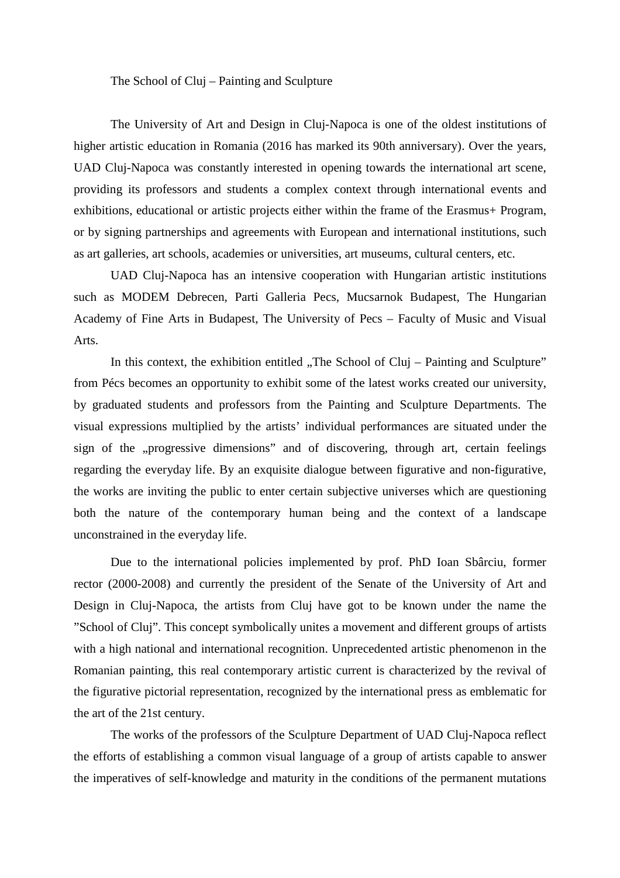The School of Cluj – Painting and Sculpture

The University of Art and Design in Cluj-Napoca is one of the oldest institutions of higher artistic education in Romania (2016 has marked its 90th anniversary). Over the years, UAD Cluj-Napoca was constantly interested in opening towards the international art scene, providing its professors and students a complex context through international events and exhibitions, educational or artistic projects either within the frame of the Erasmus+ Program, or by signing partnerships and agreements with European and international institutions, such as art galleries, art schools, academies or universities, art museums, cultural centers, etc.

UAD Cluj-Napoca has an intensive cooperation with Hungarian artistic institutions such as MODEM Debrecen, Parti Galleria Pecs, Mucsarnok Budapest, The Hungarian Academy of Fine Arts in Budapest, The University of Pecs – Faculty of Music and Visual Arts.

In this context, the exhibition entitled "The School of Cluj – Painting and Sculpture" from Pécs becomes an opportunity to exhibit some of the latest works created our university, by graduated students and professors from the Painting and Sculpture Departments. The visual expressions multiplied by the artists' individual performances are situated under the sign of the "progressive dimensions" and of discovering, through art, certain feelings regarding the everyday life. By an exquisite dialogue between figurative and non-figurative, the works are inviting the public to enter certain subjective universes which are questioning both the nature of the contemporary human being and the context of a landscape unconstrained in the everyday life.

Due to the international policies implemented by prof. PhD Ioan Sbârciu, former rector (2000-2008) and currently the president of the Senate of the University of Art and Design in Cluj-Napoca, the artists from Cluj have got to be known under the name the "School of Cluj". This concept symbolically unites a movement and different groups of artists with a high national and international recognition. Unprecedented artistic phenomenon in the Romanian painting, this real contemporary artistic current is characterized by the revival of the figurative pictorial representation, recognized by the international press as emblematic for the art of the 21st century.

The works of the professors of the Sculpture Department of UAD Cluj-Napoca reflect the efforts of establishing a common visual language of a group of artists capable to answer the imperatives of self-knowledge and maturity in the conditions of the permanent mutations